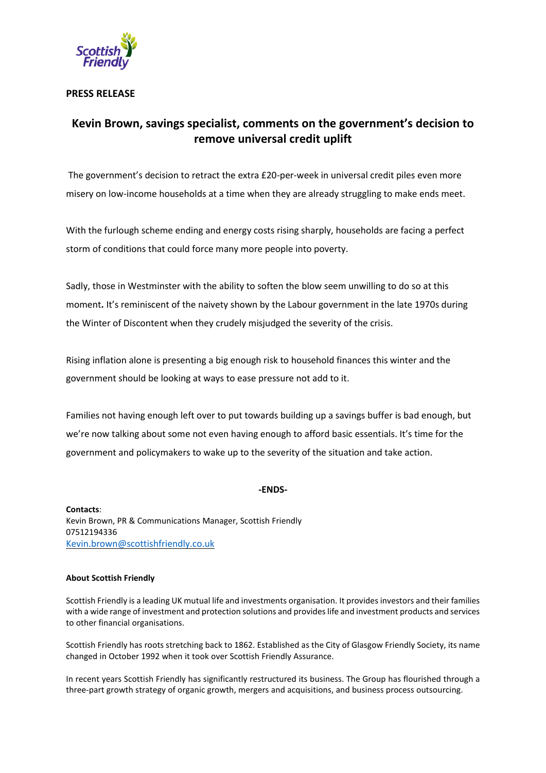

## **PRESS RELEASE**

# **Kevin Brown, savings specialist, comments on the government's decision to remove universal credit uplift**

The government's decision to retract the extra £20-per-week in universal credit piles even more misery on low-income households at a time when they are already struggling to make ends meet.

With the furlough scheme ending and energy costs rising sharply, households are facing a perfect storm of conditions that could force many more people into poverty.

Sadly, those in Westminster with the ability to soften the blow seem unwilling to do so at this moment**.** It's reminiscent of the naivety shown by the Labour government in the late 1970s during the Winter of Discontent when they crudely misjudged the severity of the crisis.

Rising inflation alone is presenting a big enough risk to household finances this winter and the government should be looking at ways to ease pressure not add to it.

Families not having enough left over to put towards building up a savings buffer is bad enough, but we're now talking about some not even having enough to afford basic essentials. It's time for the government and policymakers to wake up to the severity of the situation and take action.

### **-ENDS-**

**Contacts**: Kevin Brown, PR & Communications Manager, Scottish Friendly 07512194336 [Kevin.brown@scottishfriendly.co.uk](mailto:Kevin.brown@scottishfriendly.co.uk)

#### **About Scottish Friendly**

Scottish Friendly is a leading UK mutual life and investments organisation. It provides investors and their families with a wide range of investment and protection solutions and provideslife and investment products and services to other financial organisations.

Scottish Friendly has roots stretching back to 1862. Established as the City of Glasgow Friendly Society, its name changed in October 1992 when it took over Scottish Friendly Assurance.

In recent years Scottish Friendly has significantly restructured its business. The Group has flourished through a three-part growth strategy of organic growth, mergers and acquisitions, and business process outsourcing.